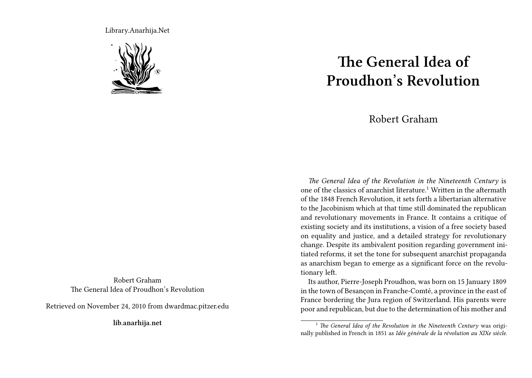Library.Anarhija.Net



Robert Graham The General Idea of Proudhon's Revolution

Retrieved on November 24, 2010 from dwardmac.pitzer.edu

**lib.anarhija.net**

## **The General Idea of Proudhon's Revolution**

## Robert Graham

*The General Idea of the Revolution in the Nineteenth Century* is one of the classics of anarchist literature.<sup>1</sup> Written in the aftermath of the 1848 French Revolution, it sets forth a libertarian alternative to the Jacobinism which at that time still dominated the republican and revolutionary movements in France. It contains a critique of existing society and its institutions, a vision of a free society based on equality and justice, and a detailed strategy for revolutionary change. Despite its ambivalent position regarding government initiated reforms, it set the tone for subsequent anarchist propaganda as anarchism began to emerge as a significant force on the revolutionary left.

Its author, Pierre-Joseph Proudhon, was born on 15 January 1809 in the town of Besançon in Franche-Comté, a province in the east of France bordering the Jura region of Switzerland. His parents were poor and republican, but due to the determination of his mother and

<sup>&</sup>lt;sup>1</sup> *The General Idea of the Revolution in the Nineteenth Century* was originally published in French in 1851 as *Idée générale de la révolution au XIXe siècle*.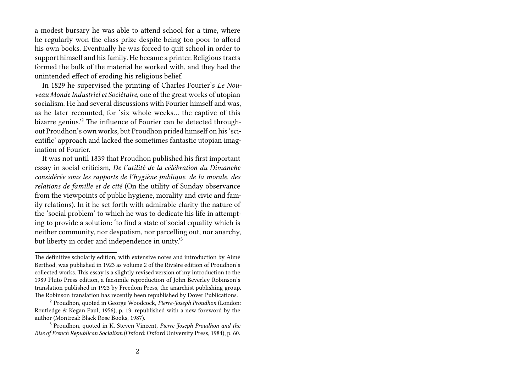a modest bursary he was able to attend school for a time, where he regularly won the class prize despite being too poor to afford his own books. Eventually he was forced to quit school in order to support himself and his family. He became a printer. Religious tracts formed the bulk of the material he worked with, and they had the unintended effect of eroding his religious belief.

In 1829 he supervised the printing of Charles Fourier's *Le Nouveau Monde Industriel et Sociétaire*, one of the great works of utopian socialism. He had several discussions with Fourier himself and was, as he later recounted, for 'six whole weeks… the captive of this bizarre genius.'<sup>2</sup> The influence of Fourier can be detected throughout Proudhon's own works, but Proudhon prided himself on his 'scientific' approach and lacked the sometimes fantastic utopian imagination of Fourier.

It was not until 1839 that Proudhon published his first important essay in social criticism, *De l'utilité de la célébration du Dimanche considérée sous les rapports de l'hygiène publique, de la morale, des relations de famille et de cité* (On the utility of Sunday observance from the viewpoints of public hygiene, morality and civic and family relations). In it he set forth with admirable clarity the nature of the 'social problem' to which he was to dedicate his life in attempting to provide a solution: 'to find a state of social equality which is neither community, nor despotism, nor parcelling out, nor anarchy, but liberty in order and independence in unity.'<sup>3</sup>

The definitive scholarly edition, with extensive notes and introduction by Aimé Berthod, was published in 1923 as volume 2 of the Rivière edition of Proudhon's collected works. This essay is a slightly revised version of my introduction to the 1989 Pluto Press edition, a facsimile reproduction of John Beverley Robinson's translation published in 1923 by Freedom Press, the anarchist publishing group. The Robinson translation has recently been republished by Dover Publications.

<sup>2</sup> Proudhon, quoted in George Woodcock, *Pierre-Joseph Proudhon* (London: Routledge & Kegan Paul, 1956), p. 13; republished with a new foreword by the author (Montreal: Black Rose Books, 1987).

<sup>3</sup> Proudhon, quoted in K. Steven Vincent, *Pierre-Joseph Proudhon and the Rise of French Republican Socialism* (Oxford: Oxford University Press, 1984), p. 60.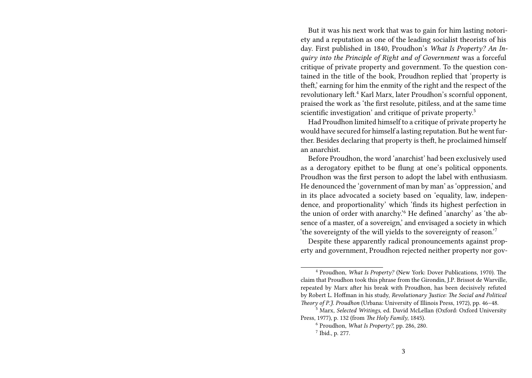But it was his next work that was to gain for him lasting notoriety and a reputation as one of the leading socialist theorists of his day. First published in 1840, Proudhon's *What Is Property? An Inquiry into the Principle of Right and of Government* was a forceful critique of private property and government. To the question contained in the title of the book, Proudhon replied that 'property is theft,' earning for him the enmity of the right and the respect of the revolutionary left.<sup>4</sup> Karl Marx, later Proudhon's scornful opponent, praised the work as 'the first resolute, pitiless, and at the same time scientific investigation' and critique of private property.<sup>5</sup>

Had Proudhon limited himself to a critique of private property he would have secured for himself a lasting reputation. But he went further. Besides declaring that property is theft, he proclaimed himself an anarchist.

Before Proudhon, the word 'anarchist' had been exclusively used as a derogatory epithet to be flung at one's political opponents. Proudhon was the first person to adopt the label with enthusiasm. He denounced the 'government of man by man' as 'oppression,' and in its place advocated a society based on 'equality, law, independence, and proportionality' which 'finds its highest perfection in the union of order with anarchy.'<sup>6</sup> He defined 'anarchy' as 'the absence of a master, of a sovereign,' and envisaged a society in which 'the sovereignty of the will yields to the sovereignty of reason.'<sup>7</sup>

Despite these apparently radical pronouncements against property and government, Proudhon rejected neither property nor gov-

<sup>4</sup> Proudhon, *What Is Property?* (New York: Dover Publications, 1970). The claim that Proudhon took this phrase from the Girondin, J.P. Brissot de Warville, repeated by Marx after his break with Proudhon, has been decisively refuted by Robert L. Hoffman in his study, *Revolutionary Justice: The Social and Political Theory of P.J. Proudhon* (Urbana: University of Illinois Press, 1972), pp. 46–48.

<sup>5</sup> Marx, *Selected Writings*, ed. David McLellan (Oxford: Oxford University Press, 1977), p. 132 (from *The Holy Family*, 1845).

<sup>6</sup> Proudhon, *What Is Property?*, pp. 286, 280.

<sup>7</sup> Ibid., p. 277.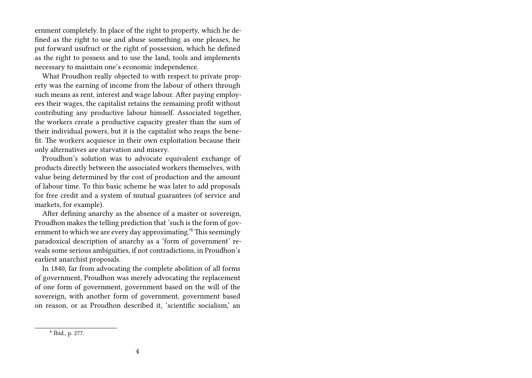ernment completely. In place of the right to property, which he defined as the right to use and abuse something as one pleases, he put forward usufruct or the right of possession, which he defined as the right to possess and to use the land, tools and implements necessary to maintain one's economic independence.

What Proudhon really objected to with respect to private property was the earning of income from the labour of others through such means as rent, interest and wage labour. After paying employees their wages, the capitalist retains the remaining profit without contributing any productive labour himself. Associated together, the workers create a productive capacity greater than the sum of their individual powers, but it is the capitalist who reaps the benefit. The workers acquiesce in their own exploitation because their only alternatives are starvation and misery.

Proudhon's solution was to advocate equivalent exchange of products directly between the associated workers themselves, with value being determined by the cost of production and the amount of labour time. To this basic scheme he was later to add proposals for free credit and a system of mutual guarantees (of service and markets, for example).

After defining anarchy as the absence of a master or sovereign, Proudhon makes the telling prediction that 'such is the form of government to which we are every day approximating.'<sup>8</sup> This seemingly paradoxical description of anarchy as a 'form of government' reveals some serious ambiguities, if not contradictions, in Proudhon's earliest anarchist proposals.

In 1840, far from advocating the complete abolition of all forms of government, Proudhon was merely advocating the replacement of one form of government, government based on the will of the sovereign, with another form of government, government based on reason, or as Proudhon described it, 'scientific socialism,' an

<sup>8</sup> Ibid., p. 277.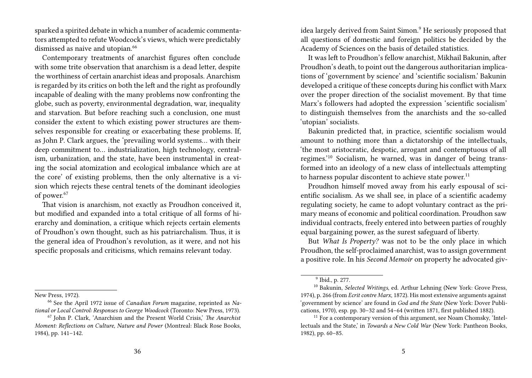sparked a spirited debate in which a number of academic commentators attempted to refute Woodcock's views, which were predictably dismissed as naive and utopian.<sup>66</sup>

Contemporary treatments of anarchist figures often conclude with some trite observation that anarchism is a dead letter, despite the worthiness of certain anarchist ideas and proposals. Anarchism is regarded by its critics on both the left and the right as profoundly incapable of dealing with the many problems now confronting the globe, such as poverty, environmental degradation, war, inequality and starvation. But before reaching such a conclusion, one must consider the extent to which existing power structures are themselves responsible for creating or exacerbating these problems. If, as John P. Clark argues, the 'prevailing world systems… with their deep commitment to… industrialization, high technology, centralism, urbanization, and the state, have been instrumental in creating the social atomization and ecological imbalance which are at the core' of existing problems, then the only alternative is a vision which rejects these central tenets of the dominant ideologies of power.<sup>67</sup>

That vision is anarchism, not exactly as Proudhon conceived it, but modified and expanded into a total critique of all forms of hierarchy and domination, a critique which rejects certain elements of Proudhon's own thought, such as his patriarchalism. Thus, it is the general idea of Proudhon's revolution, as it were, and not his specific proposals and criticisms, which remains relevant today.

New Press, 1972).

idea largely derived from Saint Simon.<sup>9</sup> He seriously proposed that all questions of domestic and foreign politics be decided by the Academy of Sciences on the basis of detailed statistics.

It was left to Proudhon's fellow anarchist, Mikhail Bakunin, after Proudhon's death, to point out the dangerous authoritarian implications of 'government by science' and 'scientific socialism.' Bakunin developed a critique of these concepts during his conflict with Marx over the proper direction of the socialist movement. By that time Marx's followers had adopted the expression 'scientific socialism' to distinguish themselves from the anarchists and the so-called 'utopian' socialists.

Bakunin predicted that, in practice, scientific socialism would amount to nothing more than a dictatorship of the intellectuals, 'the most aristocratic, despotic, arrogant and contemptuous of all regimes.'<sup>10</sup> Socialism, he warned, was in danger of being transformed into an ideology of a new class of intellectuals attempting to harness popular discontent to achieve state power.<sup>11</sup>

Proudhon himself moved away from his early espousal of scientific socialism. As we shall see, in place of a scientific academy regulating society, he came to adopt voluntary contract as the primary means of economic and political coordination. Proudhon saw individual contracts, freely entered into between parties of roughly equal bargaining power, as the surest safeguard of liberty.

But *What Is Property?* was not to be the only place in which Proudhon, the self-proclaimed anarchist, was to assign government a positive role. In his *Second Memoir* on property he advocated giv-

<sup>66</sup> See the April 1972 issue of *Canadian Forum* magazine, reprinted as *National or Local Control: Responses to George Woodcock* (Toronto: New Press, 1973).

<sup>67</sup> John P. Clark, 'Anarchism and the Present World Crisis,' *The Anarchist Moment: Reflections on Culture, Nature and Power* (Montreal: Black Rose Books, 1984), pp. 141–142.

<sup>9</sup> Ibid., p. 277.

<sup>10</sup> Bakunin, *Selected Writings*, ed. Arthur Lehning (New York: Grove Press, 1974), p. 266 (from *Ecrit contre Marx*, 1872). His most extensive arguments against 'government by science' are found in *God and the State* (New York: Dover Publications, 1970), esp. pp. 30–32 and 54–64 (written 1871, first published 1882).

 $11$  For a contemporary version of this argument, see Noam Chomsky, 'Intellectuals and the State,' in *Towards a New Cold War* (New York: Pantheon Books, 1982), pp. 60–85.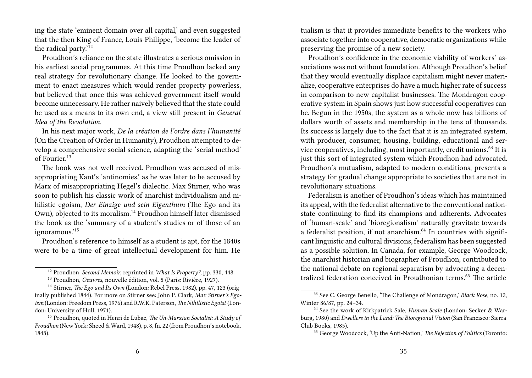ing the state 'eminent domain over all capital,' and even suggested that the then King of France, Louis-Philippe, 'become the leader of the radical party.'<sup>12</sup>

Proudhon's reliance on the state illustrates a serious omission in his earliest social programmes. At this time Proudhon lacked any real strategy for revolutionary change. He looked to the government to enact measures which would render property powerless, but believed that once this was achieved government itself would become unnecessary. He rather naively believed that the state could be used as a means to its own end, a view still present in *General Idea of the Revolution*.

In his next major work, *De la création de l'ordre dans l'humanité* (On the Creation of Order in Humanity), Proudhon attempted to develop a comprehensive social science, adapting the 'serial method' of Fourier.<sup>13</sup>

The book was not well received. Proudhon was accused of misappropriating Kant's 'antinomies,' as he was later to be accused by Marx of misappropriating Hegel's dialectic. Max Stirner, who was soon to publish his classic work of anarchist individualism and nihilistic egoism, *Der Einzige und sein Eigenthum* (The Ego and its Own), objected to its moralism.<sup>14</sup> Proudhon himself later dismissed the book as the 'summary of a student's studies or of those of an ignoramous.'<sup>15</sup>

Proudhon's reference to himself as a student is apt, for the 1840s were to be a time of great intellectual development for him. He tualism is that it provides immediate benefits to the workers who associate together into cooperative, democratic organizations while preserving the promise of a new society.

Proudhon's confidence in the economic viability of workers' associations was not without foundation. Although Proudhon's belief that they would eventually displace capitalism might never materialize, cooperative enterprises do have a much higher rate of success in comparison to new capitalist businesses. The Mondragon cooperative system in Spain shows just how successful cooperatives can be. Begun in the 1950s, the system as a whole now has billions of dollars worth of assets and membership in the tens of thousands. Its success is largely due to the fact that it is an integrated system, with producer, consumer, housing, building, educational and service cooperatives, including, most importantly, credit unions.<sup>63</sup> It is just this sort of integrated system which Proudhon had advocated. Proudhon's mutualism, adapted to modern conditions, presents a strategy for gradual change appropriate to societies that are not in revolutionary situations.

Federalism is another of Proudhon's ideas which has maintained its appeal, with the federalist alternative to the conventional nationstate continuing to find its champions and adherents. Advocates of 'human-scale' and 'bioregionalism' naturally gravitate towards a federalist position, if not anarchism. $64$  In countries with significant linguistic and cultural divisions, federalism has been suggested as a possible solution. In Canada, for example, George Woodcock, the anarchist historian and biographer of Proudhon, contributed to the national debate on regional separatism by advocating a decentralized federation conceived in Proudhonian terms.<sup>65</sup> The article

<sup>12</sup> Proudhon, *Second Memoir*, reprinted in *What Is Property?*, pp. 330, 448.

<sup>13</sup> Proudhon, *Oeuvres*, nouvelle édition, vol. 5 (Paris: Rivière, 1927).

<sup>14</sup> Stirner, *The Ego and Its Own* (London: Rebel Press, 1982), pp. 47, 123 (originally published 1844). For more on Stirner see: John P. Clark, *Max Stirner's Egoism* (London: Freedom Press, 1976) and R.W.K. Paterson, *The Nihilistic Egoist* (London: University of Hull, 1971).

<sup>15</sup> Proudhon, quoted in Henri de Lubac, *The Un-Marxian Socialist: A Study of Proudhon* (New York: Sheed & Ward, 1948), p. 8, fn. 22 (from Proudhon's notebook, 1848).

<sup>63</sup> See C. George Benello, 'The Challenge of Mondragon,' *Black Rose*, no. 12, Winter 86/87, pp. 24–34.

<sup>64</sup> See the work of Kirkpatrick Sale, *Human Scale* (London: Secker & Warburg, 1980) and *Dwellers in the Land: The Bioregional Vision* (San Francisco: Sierra Club Books, 1985).

<sup>65</sup> George Woodcock, 'Up the Anti-Nation,' *The Rejection of Politics* (Toronto: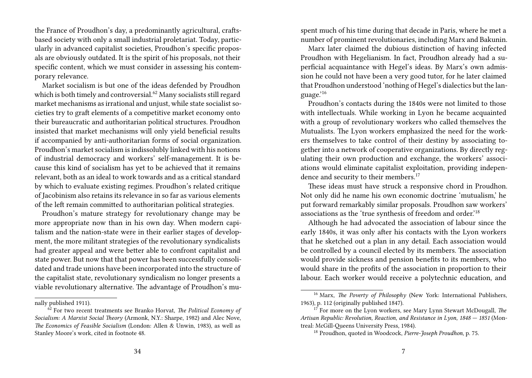the France of Proudhon's day, a predominantly agricultural, craftsbased society with only a small industrial proletariat. Today, particularly in advanced capitalist societies, Proudhon's specific proposals are obviously outdated. It is the spirit of his proposals, not their specific content, which we must consider in assessing his contemporary relevance.

Market socialism is but one of the ideas defended by Proudhon which is both timely and controversial.<sup>62</sup> Many socialists still regard market mechanisms as irrational and unjust, while state socialist societies try to graft elements of a competitive market economy onto their bureaucratic and authoritarian political structures. Proudhon insisted that market mechanisms will only yield beneficial results if accompanied by anti-authoritarian forms of social organization. Proudhon's market socialism is indissolubly linked with his notions of industrial democracy and workers' self-management. It is because this kind of socialism has yet to be achieved that it remains relevant, both as an ideal to work towards and as a critical standard by which to evaluate existing regimes. Proudhon's related critique of Jacobinism also retains its relevance in so far as various elements of the left remain committed to authoritarian political strategies.

Proudhon's mature strategy for revolutionary change may be more appropriate now than in his own day. When modern capitalism and the nation-state were in their earlier stages of development, the more militant strategies of the revolutionary syndicalists had greater appeal and were better able to confront capitalist and state power. But now that that power has been successfully consolidated and trade unions have been incorporated into the structure of the capitalist state, revolutionary syndicalism no longer presents a viable revolutionary alternative. The advantage of Proudhon's mu-

nally published 1911).

spent much of his time during that decade in Paris, where he met a number of prominent revolutionaries, including Marx and Bakunin.

Marx later claimed the dubious distinction of having infected Proudhon with Hegelianism. In fact, Proudhon already had a superficial acquaintance with Hegel's ideas. By Marx's own admission he could not have been a very good tutor, for he later claimed that Proudhon understood 'nothing of Hegel's dialectics but the language.'<sup>16</sup>

Proudhon's contacts during the 1840s were not limited to those with intellectuals. While working in Lyon he became acquainted with a group of revolutionary workers who called themselves the Mutualists. The Lyon workers emphasized the need for the workers themselves to take control of their destiny by associating together into a network of cooperative organizations. By directly regulating their own production and exchange, the workers' associations would eliminate capitalist exploitation, providing independence and security to their members.<sup>17</sup>

These ideas must have struck a responsive chord in Proudhon. Not only did he name his own economic doctrine 'mutualism,' he put forward remarkably similar proposals. Proudhon saw workers' associations as the 'true synthesis of freedom and order.'<sup>18</sup>

Although he had advocated the association of labour since the early 1840s, it was only after his contacts with the Lyon workers that he sketched out a plan in any detail. Each association would be controlled by a council elected by its members. The association would provide sickness and pension benefits to its members, who would share in the profits of the association in proportion to their labour. Each worker would receive a polytechnic education, and

<sup>62</sup> For two recent treatments see Branko Horvat, *The Political Economy of Socialism: A Marxist Social Theory* (Armonk, N.Y.: Sharpe, 1982) and Alec Nove, *The Economics of Feasible Socialism* (London: Allen & Unwin, 1983), as well as Stanley Moore's work, cited in footnote 48.

<sup>16</sup> Marx, *The Poverty of Philosophy* (New York: International Publishers, 1963), p. 112 (originally published 1847).

<sup>17</sup> For more on the Lyon workers, see Mary Lynn Stewart McDougall, *The Artisan Republic: Revolution, Reaction, and Resistance in Lyon, 1848 — 1851* (Montreal: McGill-Queens University Press, 1984).

<sup>18</sup> Proudhon, quoted in Woodcock, *Pierre-Joseph Proudhon*, p. 75.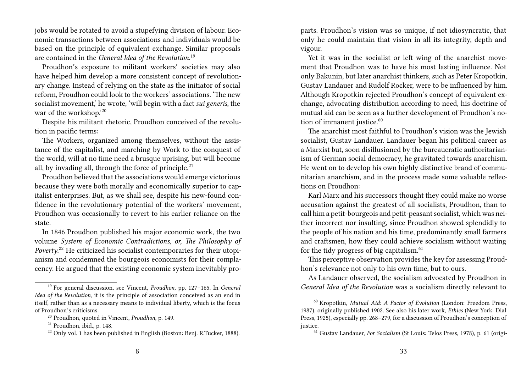jobs would be rotated to avoid a stupefying division of labour. Economic transactions between associations and individuals would be based on the principle of equivalent exchange. Similar proposals are contained in the *General Idea of the Revolution*. 19

Proudhon's exposure to militant workers' societies may also have helped him develop a more consistent concept of revolutionary change. Instead of relying on the state as the initiator of social reform, Proudhon could look to the workers' associations. 'The new socialist movement,' he wrote, 'will begin with a fact *sui generis*, the war of the workshop.'20

Despite his militant rhetoric, Proudhon conceived of the revolution in pacific terms:

The Workers, organized among themselves, without the assistance of the capitalist, and marching by Work to the conquest of the world, will at no time need a brusque uprising, but will become all, by invading all, through the force of principle. $^{21}$ 

Proudhon believed that the associations would emerge victorious because they were both morally and economically superior to capitalist enterprises. But, as we shall see, despite his new-found confidence in the revolutionary potential of the workers' movement, Proudhon was occasionally to revert to his earlier reliance on the state.

In 1846 Proudhon published his major economic work, the two volume *System of Economic Contradictions, or, The Philosophy of Poverty*. <sup>22</sup> He criticized his socialist contemporaries for their utopianism and condemned the bourgeois economists for their complacency. He argued that the existing economic system inevitably proparts. Proudhon's vision was so unique, if not idiosyncratic, that only he could maintain that vision in all its integrity, depth and vigour.

Yet it was in the socialist or left wing of the anarchist movement that Proudhon was to have his most lasting influence. Not only Bakunin, but later anarchist thinkers, such as Peter Kropotkin, Gustav Landauer and Rudolf Rocker, were to be influenced by him. Although Kropotkin rejected Proudhon's concept of equivalent exchange, advocating distribution according to need, his doctrine of mutual aid can be seen as a further development of Proudhon's notion of immanent justice.<sup>60</sup>

The anarchist most faithful to Proudhon's vision was the Jewish socialist, Gustav Landauer. Landauer began his political career as a Marxist but, soon disillusioned by the bureaucratic authoritarianism of German social democracy, he gravitated towards anarchism. He went on to develop his own highly distinctive brand of communitarian anarchism, and in the process made some valuable reflections on Proudhon:

Karl Marx and his successors thought they could make no worse accusation against the greatest of all socialists, Proudhon, than to call him a petit-bourgeois and petit-peasant socialist, which was neither incorrect nor insulting, since Proudhon showed splendidly to the people of his nation and his time, predominantly small farmers and craftsmen, how they could achieve socialism without waiting for the tidy progress of big capitalism. $61$ 

This perceptive observation provides the key for assessing Proudhon's relevance not only to his own time, but to ours.

As Landauer observed, the socialism advocated by Proudhon in *General Idea of the Revolution* was a socialism directly relevant to

<sup>19</sup> For general discussion, see Vincent, *Proudhon*, pp. 127–165. In *General Idea of the Revolution*, it is the principle of association conceived as an end in itself, rather than as a necessary means to individual liberty, which is the focus of Proudhon's criticisms.

<sup>20</sup> Proudhon, quoted in Vincent, *Proudhon*, p. 149.

<sup>21</sup> Proudhon, ibid., p. 148.

<sup>22</sup> Only vol. 1 has been published in English (Boston: Benj. R.Tucker, 1888).

<sup>60</sup> Kropotkin, *Mutual Aid: A Factor of Evolution* (London: Freedom Press, 1987), originally published 1902. See also his later work, *Ethics* (New York: Dial Press, 1925), especially pp. 268–279, for a discussion of Proudhon's conception of justice.

<sup>61</sup> Gustav Landauer, *For Socialism* (St Louis: Telos Press, 1978), p. 61 (origi-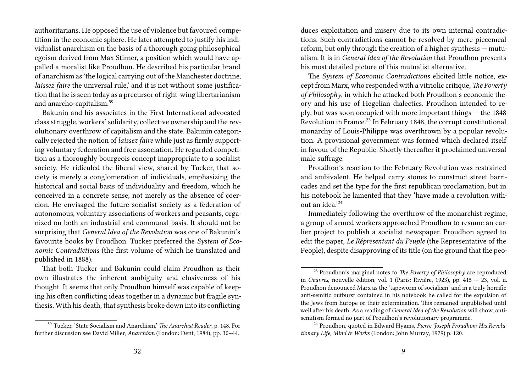authoritarians. He opposed the use of violence but favoured competition in the economic sphere. He later attempted to justify his individualist anarchism on the basis of a thorough going philosophical egoism derived from Max Stirner, a position which would have appalled a moralist like Proudhon. He described his particular brand of anarchism as 'the logical carrying out of the Manchester doctrine, *laissez faire* the universal rule,' and it is not without some justification that he is seen today as a precursor of right-wing libertarianism and anarcho-capitalism.<sup>59</sup>

Bakunin and his associates in the First International advocated class struggle, workers' solidarity, collective ownership and the revolutionary overthrow of capitalism and the state. Bakunin categorically rejected the notion of *laissez faire* while just as firmly supporting voluntary federation and free association. He regarded competition as a thoroughly bourgeois concept inappropriate to a socialist society. He ridiculed the liberal view, shared by Tucker, that society is merely a conglomeration of individuals, emphasizing the historical and social basis of individuality and freedom, which he conceived in a concrete sense, not merely as the absence of coercion. He envisaged the future socialist society as a federation of autonomous, voluntary associations of workers and peasants, organized on both an industrial and communal basis. It should not be surprising that *General Idea of the Revolution* was one of Bakunin's favourite books by Proudhon. Tucker preferred the *System of Economic Contradictions* (the first volume of which he translated and published in 1888).

That both Tucker and Bakunin could claim Proudhon as their own illustrates the inherent ambiguity and elusiveness of his thought. It seems that only Proudhon himself was capable of keeping his often conflicting ideas together in a dynamic but fragile synthesis. With his death, that synthesis broke down into its conflicting

duces exploitation and misery due to its own internal contradictions. Such contradictions cannot be resolved by mere piecemeal reform, but only through the creation of a higher synthesis — mutualism. It is in *General Idea of the Revolution* that Proudhon presents his most detailed picture of this mutualist alternative.

The *System of Economic Contradictions* elicited little notice, except from Marx, who responded with a vitriolic critique, *The Poverty of Philosophy*, in which he attacked both Proudhon's economic theory and his use of Hegelian dialectics. Proudhon intended to reply, but was soon occupied with more important things — the 1848 Revolution in France.<sup>23</sup> In February 1848, the corrupt constitutional monarchy of Louis-Philippe was overthrown by a popular revolution. A provisional government was formed which declared itself in favour of the Republic. Shortly thereafter it proclaimed universal male suffrage.

Proudhon's reaction to the February Revolution was restrained and ambivalent. He helped carry stones to construct street barricades and set the type for the first republican proclamation, but in his notebook he lamented that they 'have made a revolution without an idea.'<sup>24</sup>

Immediately following the overthrow of the monarchist regime, a group of armed workers approached Proudhon to resume an earlier project to publish a socialist newspaper. Proudhon agreed to edit the paper, *Le Répresentant du Peuple* (the Representative of the People), despite disapproving of its title (on the ground that the peo-

<sup>59</sup> Tucker, 'State Socialism and Anarchism,' *The Anarchist Reader*, p. 148. For further discussion see David Miller, *Anarchism* (London: Dent, 1984), pp. 30–44.

<sup>23</sup> Proudhon's marginal notes to *The Poverty of Philosophy* are reproduced in *Oeuvres*, nouvelle édition, vol. 1 (Paris: Rivière, 1923), pp. 415 — 23, vol. ii. Proudhon denounced Marx as the 'tapeworm of socialism' and in a truly horrific anti-semitic outburst contained in his notebook he called for the expulsion of the Jews from Europe or their extermination. This remained unpublished until well after his death. As a reading of *General Idea of the Revolution* will show, antisemitism formed no part of Proudhon's revolutionary programme.

<sup>24</sup> Proudhon, quoted in Edward Hyams, *Pierre-Joseph Proudhon: His Revolutionary Life, Mind & Works* (London: John Murray, 1979) p. 120.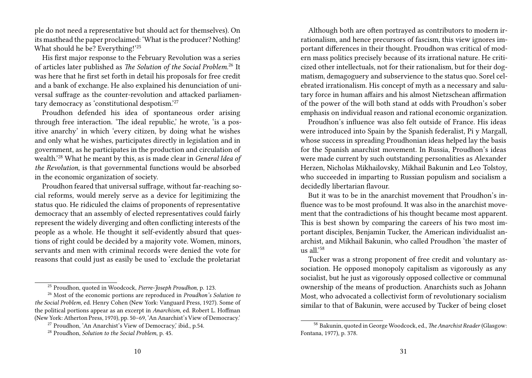ple do not need a representative but should act for themselves). On its masthead the paper proclaimed: 'What is the producer? Nothing! What should he be? Everything!'<sup>25</sup>

His first major response to the February Revolution was a series of articles later published as *The Solution of the Social Problem*. <sup>26</sup> It was here that he first set forth in detail his proposals for free credit and a bank of exchange. He also explained his denunciation of universal suffrage as the counter-revolution and attacked parliamentary democracy as 'constitutional despotism.'<sup>27</sup>

Proudhon defended his idea of spontaneous order arising through free interaction. 'The ideal republic,' he wrote, 'is a positive anarchy' in which 'every citizen, by doing what he wishes and only what he wishes, participates directly in legislation and in government, as he participates in the production and circulation of wealth.'<sup>28</sup> What he meant by this, as is made clear in *General Idea of the Revolution*, is that governmental functions would be absorbed in the economic organization of society.

Proudhon feared that universal suffrage, without far-reaching social reforms, would merely serve as a device for legitimizing the status quo. He ridiculed the claims of proponents of representative democracy that an assembly of elected representatives could fairly represent the widely diverging and often conflicting interests of the people as a whole. He thought it self-evidently absurd that questions of right could be decided by a majority vote. Women, minors, servants and men with criminal records were denied the vote for reasons that could just as easily be used to 'exclude the proletariat

Although both are often portrayed as contributors to modern irrationalism, and hence precursors of fascism, this view ignores important differences in their thought. Proudhon was critical of modern mass politics precisely because of its irrational nature. He criticized other intellectuals, not for their rationalism, but for their dogmatism, demagoguery and subservience to the status quo. Sorel celebrated irrationalism. His concept of myth as a necessary and salutary force in human affairs and his almost Nietzschean affirmation of the power of the will both stand at odds with Proudhon's sober emphasis on individual reason and rational economic organization.

Proudhon's influence was also felt outside of France. His ideas were introduced into Spain by the Spanish federalist, Pi y Margall, whose success in spreading Proudhonian ideas helped lay the basis for the Spanish anarchist movement. In Russia, Proudhon's ideas were made current by such outstanding personalities as Alexander Herzen, Nicholas Mikhailovsky, Mikhail Bakunin and Leo Tolstoy, who succeeded in imparting to Russian populism and socialism a decidedly libertarian flavour.

But it was to be in the anarchist movement that Proudhon's influence was to be most profound. It was also in the anarchist movement that the contradictions of his thought became most apparent. This is best shown by comparing the careers of his two most important disciples, Benjamin Tucker, the American individualist anarchist, and Mikhail Bakunin, who called Proudhon 'the master of us all $^{158}$ 

Tucker was a strong proponent of free credit and voluntary association. He opposed monopoly capitalism as vigorously as any socialist, but he just as vigorously opposed collective or communal ownership of the means of production. Anarchists such as Johann Most, who advocated a collectivist form of revolutionary socialism similar to that of Bakunin, were accused by Tucker of being closet

<sup>25</sup> Proudhon, quoted in Woodcock, *Pierre-Joseph Proudhon*, p. 123.

<sup>26</sup> Most of the economic portions are reproduced in *Proudhon's Solution to the Social Problem*, ed. Henry Cohen (New York: Vanguard Press, 1927). Some of the political portions appear as an excerpt in *Anarchism*, ed. Robert L. Hoffman (New York: Atherton Press, 1970), pp. 50–69, 'An Anarchist's View of Democracy.'

<sup>&</sup>lt;sup>27</sup> Proudhon, 'An Anarchist's View of Democracy,' ibid., p.54.

<sup>28</sup> Proudhon, *Solution to the Social Problem*, p. 45.

<sup>58</sup> Bakunin, quoted in George Woodcock, ed., *The Anarchist Reader* (Glasgow: Fontana, 1977), p. 378.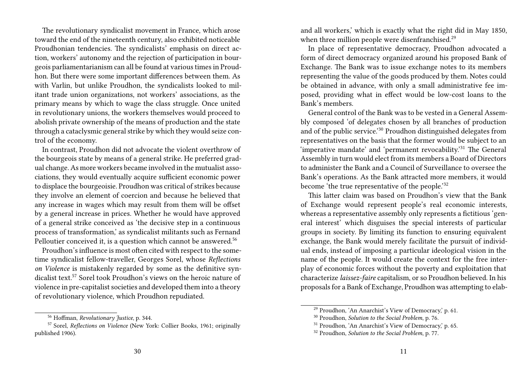The revolutionary syndicalist movement in France, which arose toward the end of the nineteenth century, also exhibited noticeable Proudhonian tendencies. The syndicalists' emphasis on direct action, workers' autonomy and the rejection of participation in bourgeois parliamentarianism can all be found at various times in Proudhon. But there were some important differences between them. As with Varlin, but unlike Proudhon, the syndicalists looked to militant trade union organizations, not workers' associations, as the primary means by which to wage the class struggle. Once united in revolutionary unions, the workers themselves would proceed to abolish private ownership of the means of production and the state through a cataclysmic general strike by which they would seize control of the economy.

In contrast, Proudhon did not advocate the violent overthrow of the bourgeois state by means of a general strike. He preferred gradual change. As more workers became involved in the mutualist associations, they would eventually acquire sufficient economic power to displace the bourgeoisie. Proudhon was critical of strikes because they involve an element of coercion and because he believed that any increase in wages which may result from them will be offset by a general increase in prices. Whether he would have approved of a general strike conceived as 'the decisive step in a continuous process of transformation,' as syndicalist militants such as Fernand Pelloutier conceived it, is a question which cannot be answered.<sup>56</sup>

Proudhon's influence is most often cited with respect to the sometime syndicalist fellow-traveller, Georges Sorel, whose *Reflections on Violence* is mistakenly regarded by some as the definitive syndicalist text.<sup>57</sup> Sorel took Proudhon's views on the heroic nature of violence in pre-capitalist societies and developed them into a theory of revolutionary violence, which Proudhon repudiated.

and all workers,' which is exactly what the right did in May 1850, when three million people were disenfranchised.<sup>29</sup>

In place of representative democracy, Proudhon advocated a form of direct democracy organized around his proposed Bank of Exchange. The Bank was to issue exchange notes to its members representing the value of the goods produced by them. Notes could be obtained in advance, with only a small administrative fee imposed, providing what in effect would be low-cost loans to the Bank's members.

General control of the Bank was to be vested in a General Assembly composed 'of delegates chosen by all branches of production and of the public service.'<sup>30</sup> Proudhon distinguished delegates from representatives on the basis that the former would be subject to an 'imperative mandate' and 'permanent revocability.'<sup>31</sup> The General Assembly in turn would elect from its members a Board of Directors to administer the Bank and a Council of Surveillance to oversee the Bank's operations. As the Bank attracted more members, it would become 'the true representative of the people.'<sup>32</sup>

This latter claim was based on Proudhon's view that the Bank of Exchange would represent people's real economic interests, whereas a representative assembly only represents a fictitious 'general interest' which disguises the special interests of particular groups in society. By limiting its function to ensuring equivalent exchange, the Bank would merely facilitate the pursuit of individual ends, instead of imposing a particular ideological vision in the name of the people. It would create the context for the free interplay of economic forces without the poverty and exploitation that characterize *laissez-faire* capitalism, or so Proudhon believed. In his proposals for a Bank of Exchange, Proudhon was attempting to elab-

<sup>56</sup> Hoffman, *Revolutionary Justice*, p. 344.

<sup>57</sup> Sorel, *Reflections on Violence* (New York: Collier Books, 1961; originally published 1906).

<sup>29</sup> Proudhon, 'An Anarchist's View of Democracy,' p. 61.

<sup>30</sup> Proudhon, *Solution to the Social Problem*, p. 76.

<sup>31</sup> Proudhon, 'An Anarchist's View of Democracy,' p. 65.

<sup>32</sup> Proudhon, *Solution to the Social Problem*, p. 77.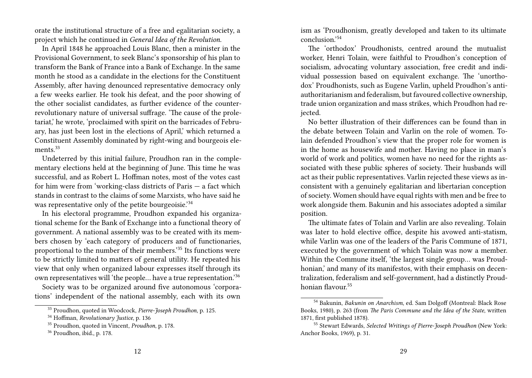orate the institutional structure of a free and egalitarian society, a project which he continued in *General Idea of the Revolution*.

In April 1848 he approached Louis Blanc, then a minister in the Provisional Government, to seek Blanc's sponsorship of his plan to transform the Bank of France into a Bank of Exchange. In the same month he stood as a candidate in the elections for the Constituent Assembly, after having denounced representative democracy only a few weeks earlier. He took his defeat, and the poor showing of the other socialist candidates, as further evidence of the counterrevolutionary nature of universal suffrage. 'The cause of the proletariat,' he wrote, 'proclaimed with spirit on the barricades of February, has just been lost in the elections of April,' which returned a Constituent Assembly dominated by right-wing and bourgeois elements $^{33}$ 

Undeterred by this initial failure, Proudhon ran in the complementary elections held at the beginning of June. This time he was successful, and as Robert L. Hoffman notes, most of the votes cast for him were from 'working-class districts of Paris — a fact which stands in contrast to the claims of some Marxists, who have said he was representative only of the petite bourgeoisie.<sup>34</sup>

In his electoral programme, Proudhon expanded his organizational scheme for the Bank of Exchange into a functional theory of government. A national assembly was to be created with its members chosen by 'each category of producers and of functionaries, proportional to the number of their members.'<sup>35</sup> Its functions were to be strictly limited to matters of general utility. He repeated his view that only when organized labour expresses itself through its own representatives will 'the people… have a true representation.'<sup>36</sup>

Society was to be organized around five autonomous 'corporations' independent of the national assembly, each with its own

ism as 'Proudhonism, greatly developed and taken to its ultimate conclusion.'<sup>54</sup>

The 'orthodox' Proudhonists, centred around the mutualist worker, Henri Tolain, were faithful to Proudhon's conception of socialism, advocating voluntary association, free credit and individual possession based on equivalent exchange. The 'unorthodox' Proudhonists, such as Eugene Varlin, upheld Proudhon's antiauthoritarianism and federalism, but favoured collective ownership, trade union organization and mass strikes, which Proudhon had rejected.

No better illustration of their differences can be found than in the debate between Tolain and Varlin on the role of women. Tolain defended Proudhon's view that the proper role for women is in the home as housewife and mother. Having no place in man's world of work and politics, women have no need for the rights associated with these public spheres of society. Their husbands will act as their public representatives. Varlin rejected these views as inconsistent with a genuinely egalitarian and libertarian conception of society. Women should have equal rights with men and be free to work alongside them. Bakunin and his associates adopted a similar position.

The ultimate fates of Tolain and Varlin are also revealing. Tolain was later to hold elective office, despite his avowed anti-statism, while Varlin was one of the leaders of the Paris Commune of 1871, executed by the government of which Tolain was now a member. Within the Commune itself, 'the largest single group… was Proudhonian,' and many of its manifestos, with their emphasis on decentralization, federalism and self-government, had a distinctly Proudhonian flavour.<sup>55</sup>

<sup>33</sup> Proudhon, quoted in Woodcock, *Pierre-Joseph Proudhon*, p. 125.

<sup>34</sup> Hoffman, *Revolutionary Justice*, p. 136

<sup>35</sup> Proudhon, quoted in Vincent, *Proudhon*, p. 178.

<sup>36</sup> Proudhon, ibid., p. 178.

<sup>54</sup> Bakunin, *Bakunin on Anarchism*, ed. Sam Dolgoff (Montreal: Black Rose Books, 1980), p. 263 (from *The Paris Commune and the Idea of the State*, written 1871, first published 1878).

<sup>55</sup> Stewart Edwards, *Selected Writings of Pierre-Joseph Proudhon* (New York: Anchor Books, 1969), p. 31.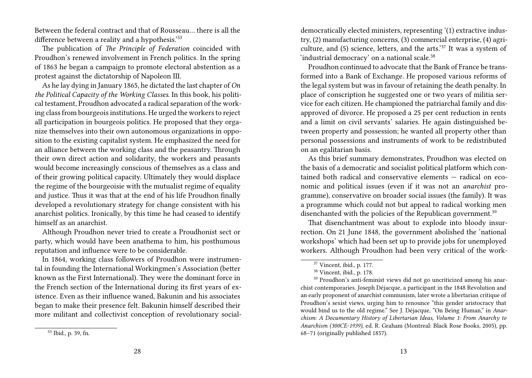Between the federal contract and that of Rousseau… there is all the difference between a reality and a hypothesis.<sup>'53</sup>

The publication of *The Principle of Federation* coincided with Proudhon's renewed involvement in French politics. In the spring of 1863 he began a campaign to promote electoral abstention as a protest against the dictatorship of Napoleon III.

As he lay dying in January 1865, he dictated the last chapter of *On the Political Capacity of the Working Classes*. In this book, his political testament, Proudhon advocated a radical separation of the working class from bourgeois institutions. He urged the workers to reject all participation in bourgeois politics. He proposed that they organize themselves into their own autonomous organizations in opposition to the existing capitalist system. He emphasized the need for an alliance between the working class and the peasantry. Through their own direct action and solidarity, the workers and peasants would become increasingly conscious of themselves as a class and of their growing political capacity. Ultimately they would displace the regime of the bourgeoisie with the mutualist regime of equality and justice. Thus it was that at the end of his life Proudhon finally developed a revolutionary strategy for change consistent with his anarchist politics. Ironically, by this time he had ceased to identify himself as an anarchist.

Although Proudhon never tried to create a Proudhonist sect or party, which would have been anathema to him, his posthumous reputation and influence were to be considerable.

In 1864, working class followers of Proudhon were instrumental in founding the International Workingmen's Association (better known as the First International). They were the dominant force in the French section of the International during its first years of existence. Even as their influence waned, Bakunin and his associates began to make their presence felt. Bakunin himself described their more militant and collectivist conception of revolutionary socialdemocratically elected ministers, representing '(1) extractive industry, (2) manufacturing concerns, (3) commercial enterprise, (4) agriculture, and (5) science, letters, and the arts.'<sup>37</sup> It was a system of 'industrial democracy' on a national scale.<sup>38</sup>

Proudhon continued to advocate that the Bank of France be transformed into a Bank of Exchange. He proposed various reforms of the legal system but was in favour of retaining the death penalty. In place of conscription he suggested one or two years of militia service for each citizen. He championed the patriarchal family and disapproved of divorce. He proposed a 25 per cent reduction in rents and a limit on civil servants' salaries. He again distinguished between property and possession; he wanted all property other than personal possessions and instruments of work to be redistributed on an egalitarian basis.

As this brief summary demonstrates, Proudhon was elected on the basis of a democratic and socialist political platform which contained both radical and conservative elements — radical on economic and political issues (even if it was not an *anarchist* programme), conservative on broader social issues (the family). It was a programme which could not but appeal to radical working men disenchanted with the policies of the Republican government.<sup>39</sup>

That disenchantment was about to explode into bloody insurrection. On 21 June 1848, the government abolished the 'national workshops' which had been set up to provide jobs for unemployed workers. Although Proudhon had been very critical of the work-

<sup>37</sup> Vincent, ibid., p. 177.

<sup>38</sup> Vincent, ibid., p. 178.

<sup>39</sup> Proudhon's anti-feminist views did not go uncriticized among his anarchist contemporaries. Joseph Déjacque, a participant in the 1848 Revolution and an early proponent of anarchist communism, later wrote a libertarian critique of Proudhon's sexist views, urging him to renounce "this gender aristocracy that would bind us to the old regime." See J. Déjacque, "On Being Human," in *Anarchism: A Documentary History of Libertarian Ideas, Volume 1: From Anarchy to Anarchism (300CE-1939)*, ed. R. Graham (Montreal: Black Rose Books, 2005), pp. 68–71 (originally published 1857).

<sup>53</sup> Ibid., p. 39, fn.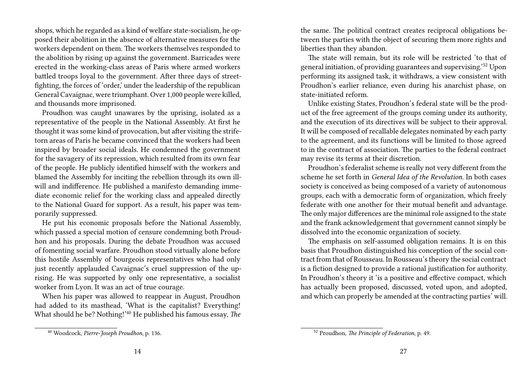shops, which he regarded as a kind of welfare state-socialism, he opposed their abolition in the absence of alternative measures for the workers dependent on them. The workers themselves responded to the abolition by rising up against the government. Barricades were erected in the working-class areas of Paris where armed workers battled troops loyal to the government. After three days of streetfighting, the forces of 'order,' under the leadership of the republican General Cavaignac, were triumphant. Over 1,000 people were killed, and thousands more imprisoned.

Proudhon was caught unawares by the uprising, isolated as a representative of the people in the National Assembly. At first he thought it was some kind of provocation, but after visiting the strifetorn areas of Paris he became convinced that the workers had been inspired by broader social ideals. He condemned the government for the savagery of its repression, which resulted from its own fear of the people. He publicly identified himself with the workers and blamed the Assembly for inciting the rebellion through its own illwill and indifference. He published a manifesto demanding immediate economic relief for the working class and appealed directly to the National Guard for support. As a result, his paper was temporarily suppressed.

He put his economic proposals before the National Assembly, which passed a special motion of censure condemning both Proudhon and his proposals. During the debate Proudhon was accused of fomenting social warfare. Proudhon stood virtually alone before this hostile Assembly of bourgeois representatives who had only just recently applauded Cavaignac's cruel suppression of the uprising. He was supported by only one representative, a socialist worker from Lyon. It was an act of true courage.

When his paper was allowed to reappear in August, Proudhon had added to its masthead, 'What is the capitalist? Everything! What should he be? Nothing!'<sup>40</sup> He published his famous essay, *The* the same. The political contract creates reciprocal obligations between the parties with the object of securing them more rights and liberties than they abandon.

The state will remain, but its role will be restricted 'to that of general initiation, of providing guarantees and supervising.'<sup>52</sup> Upon performing its assigned task, it withdraws, a view consistent with Proudhon's earlier reliance, even during his anarchist phase, on state-initiated reform.

Unlike existing States, Proudhon's federal state will be the product of the free agreement of the groups coming under its authority, and the execution of its directives will be subject to their approval. It will be composed of recallable delegates nominated by each party to the agreement, and its functions will be limited to those agreed to in the contract of association. The parties to the federal contract may revise its terms at their discretion.

Proudhon's federalist scheme is really not very different from the scheme he set forth in *General Idea of the Revolution*. In both cases society is conceived as being composed of a variety of autonomous groups, each with a democratic form of organization, which freely federate with one another for their mutual benefit and advantage. The only major differences are the minimal role assigned to the state and the frank acknowledgement that government cannot simply be dissolved into the economic organization of society.

The emphasis on self-assumed obligation remains. It is on this basis that Proudhon distinguished his conception of the social contract from that of Rousseau. In Rousseau's theory the social contract is a fiction designed to provide a rational justification for authority. In Proudhon's theory it 'is a positive and effective compact, which has actually been proposed, discussed, voted upon, and adopted, and which can properly be amended at the contracting parties' will.

<sup>40</sup> Woodcock, *Pierre-Joseph Proudhon*, p. 136.

<sup>52</sup> Proudhon, *The Principle of Federation*, p. 49.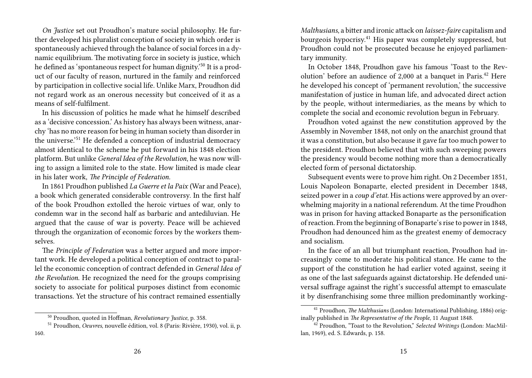*On Justice* set out Proudhon's mature social philosophy. He further developed his pluralist conception of society in which order is spontaneously achieved through the balance of social forces in a dynamic equilibrium. The motivating force in society is justice, which he defined as 'spontaneous respect for human dignity.'<sup>50</sup> It is a product of our faculty of reason, nurtured in the family and reinforced by participation in collective social life. Unlike Marx, Proudhon did not regard work as an onerous necessity but conceived of it as a means of self-fulfilment.

In his discussion of politics he made what he himself described as a 'decisive concession.' As history has always been witness, anarchy 'has no more reason for being in human society than disorder in the universe.'<sup>51</sup> He defended a conception of industrial democracy almost identical to the scheme he put forward in his 1848 election platform. But unlike *General Idea of the Revolution*, he was now willing to assign a limited role to the state. How limited is made clear in his later work, *The Principle of Federation.*

In 1861 Proudhon published *La Guerre et la Paix* (War and Peace), a book which generated considerable controversy. In the first half of the book Proudhon extolled the heroic virtues of war, only to condemn war in the second half as barbaric and antediluvian. He argued that the cause of war is poverty. Peace will be achieved through the organization of economic forces by the workers themselves.

The *Principle of Federation* was a better argued and more important work. He developed a political conception of contract to parallel the economic conception of contract defended in *General Idea of the Revolution*. He recognized the need for the groups comprising society to associate for political purposes distinct from economic transactions. Yet the structure of his contract remained essentially

*Malthusians*, a bitter and ironic attack on *laissez-faire* capitalism and bourgeois hypocrisy.<sup>41</sup> His paper was completely suppressed, but Proudhon could not be prosecuted because he enjoyed parliamentary immunity.

In October 1848, Proudhon gave his famous 'Toast to the Revolution' before an audience of 2,000 at a banquet in Paris.<sup>42</sup> Here he developed his concept of 'permanent revolution,' the successive manifestation of justice in human life, and advocated direct action by the people, without intermediaries, as the means by which to complete the social and economic revolution begun in February.

Proudhon voted against the new constitution approved by the Assembly in November 1848, not only on the anarchist ground that it was a constitution, but also because it gave far too much power to the president. Proudhon believed that with such sweeping powers the presidency would become nothing more than a democratically elected form of personal dictatorship.

Subsequent events were to prove him right. On 2 December 1851, Louis Napoleon Bonaparte, elected president in December 1848, seized power in a *coup d'etat*. His actions were approved by an overwhelming majority in a national referendum. At the time Proudhon was in prison for having attacked Bonaparte as the personification of reaction. From the beginning of Bonaparte's rise to power in 1848, Proudhon had denounced him as the greatest enemy of democracy and socialism.

In the face of an all but triumphant reaction, Proudhon had increasingly come to moderate his political stance. He came to the support of the constitution he had earlier voted against, seeing it as one of the last safeguards against dictatorship. He defended universal suffrage against the right's successful attempt to emasculate it by disenfranchising some three million predominantly working-

<sup>50</sup> Proudhon, quoted in Hoffman, *Revolutionary Justice*, p. 358.

<sup>51</sup> Proudhon, *Oeuvres*, nouvelle édition, vol. 8 (Paris: Rivière, 1930), vol. ii, p. 160.

<sup>41</sup> Proudhon, *The Malthusians* (London: International Publishing, 1886) originally published in *The Representative of the People*, 11 August 1848.

<sup>42</sup> Proudhon, "Toast to the Revolution," *Selected Writings* (London: MacMillan, 1969), ed. S. Edwards, p. 158.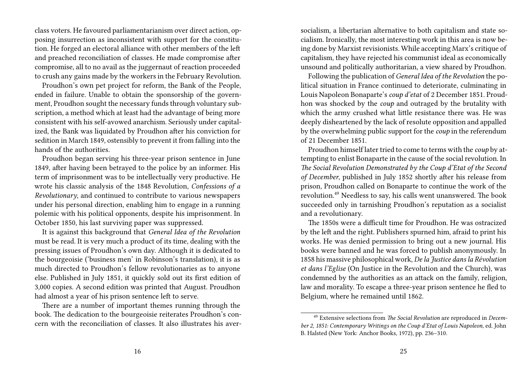class voters. He favoured parliamentarianism over direct action, opposing insurrection as inconsistent with support for the constitution. He forged an electoral alliance with other members of the left and preached reconciliation of classes. He made compromise after compromise, all to no avail as the juggernaut of reaction proceeded to crush any gains made by the workers in the February Revolution.

Proudhon's own pet project for reform, the Bank of the People, ended in failure. Unable to obtain the sponsorship of the government, Proudhon sought the necessary funds through voluntary subscription, a method which at least had the advantage of being more consistent with his self-avowed anarchism. Seriously under capitalized, the Bank was liquidated by Proudhon after his conviction for sedition in March 1849, ostensibly to prevent it from falling into the hands of the authorities.

Proudhon began serving his three-year prison sentence in June 1849, after having been betrayed to the police by an informer. His term of imprisonment was to be intellectually very productive. He wrote his classic analysis of the 1848 Revolution, *Confessions of a Revolutionary*, and continued to contribute to various newspapers under his personal direction, enabling him to engage in a running polemic with his political opponents, despite his imprisonment. In October 1850, his last surviving paper was suppressed.

It is against this background that *General Idea of the Revolution* must be read. It is very much a product of its time, dealing with the pressing issues of Proudhon's own day. Although it is dedicated to the bourgeoisie ('business men' in Robinson's translation), it is as much directed to Proudhon's fellow revolutionaries as to anyone else. Published in July 1851, it quickly sold out its first edition of 3,000 copies. A second edition was printed that August. Proudhon had almost a year of his prison sentence left to serve.

There are a number of important themes running through the book. The dedication to the bourgeoisie reiterates Proudhon's concern with the reconciliation of classes. It also illustrates his aversocialism, a libertarian alternative to both capitalism and state socialism. Ironically, the most interesting work in this area is now being done by Marxist revisionists. While accepting Marx's critique of capitalism, they have rejected his communist ideal as economically unsound and politically authoritarian, a view shared by Proudhon.

Following the publication of *General Idea of the Revolution* the political situation in France continued to deteriorate, culminating in Louis Napoleon Bonaparte's *coup d'etat* of 2 December 1851. Proudhon was shocked by the *coup* and outraged by the brutality with which the army crushed what little resistance there was. He was deeply disheartened by the lack of resolute opposition and appalled by the overwhelming public support for the *coup* in the referendum of 21 December 1851.

Proudhon himself later tried to come to terms with the *coup* by attempting to enlist Bonaparte in the cause of the social revolution. In *The Social Revolution Demonstrated by the Coup d'Etat of the Second of December*, published in July 1852 shortly after his release from prison, Proudhon called on Bonaparte to continue the work of the revolution.<sup>49</sup> Needless to say, his calls went unanswered. The book succeeded only in tarnishing Proudhon's reputation as a socialist and a revolutionary.

The 1850s were a difficult time for Proudhon. He was ostracized by the left and the right. Publishers spurned him, afraid to print his works. He was denied permission to bring out a new journal. His books were banned and he was forced to publish anonymously. In 1858 his massive philosophical work, *De la Justice dans la Révolution et dans l'Eglise* (On Justice in the Revolution and the Church), was condemned by the authorities as an attack on the family, religion, law and morality. To escape a three-year prison sentence he fled to Belgium, where he remained until 1862.

<sup>49</sup> Extensive selections from *The Social Revolution* are reproduced in *December 2, 1851: Contemporary Writings on the Coup d'Etat of Louis Napoleon*, ed. John B. Halsted (New York: Anchor Books, 1972), pp. 236–310.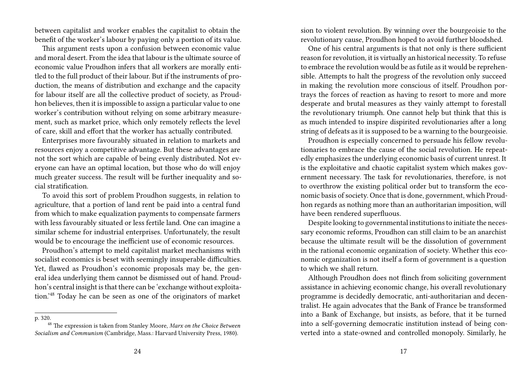between capitalist and worker enables the capitalist to obtain the benefit of the worker's labour by paying only a portion of its value.

This argument rests upon a confusion between economic value and moral desert. From the idea that labour is the ultimate source of economic value Proudhon infers that all workers are morally entitled to the full product of their labour. But if the instruments of production, the means of distribution and exchange and the capacity for labour itself are all the collective product of society, as Proudhon believes, then it is impossible to assign a particular value to one worker's contribution without relying on some arbitrary measurement, such as market price, which only remotely reflects the level of care, skill and effort that the worker has actually contributed.

Enterprises more favourably situated in relation to markets and resources enjoy a competitive advantage. But these advantages are not the sort which are capable of being evenly distributed. Not everyone can have an optimal location, but those who do will enjoy much greater success. The result will be further inequality and social stratification.

To avoid this sort of problem Proudhon suggests, in relation to agriculture, that a portion of land rent be paid into a central fund from which to make equalization payments to compensate farmers with less favourably situated or less fertile land. One can imagine a similar scheme for industrial enterprises. Unfortunately, the result would be to encourage the inefficient use of economic resources.

Proudhon's attempt to meld capitalist market mechanisms with socialist economics is beset with seemingly insuperable difficulties. Yet, flawed as Proudhon's economic proposals may be, the general idea underlying them cannot be dismissed out of hand. Proudhon's central insight is that there can be 'exchange without exploitation.'<sup>48</sup> Today he can be seen as one of the originators of market

p. 320.

sion to violent revolution. By winning over the bourgeoisie to the revolutionary cause, Proudhon hoped to avoid further bloodshed.

One of his central arguments is that not only is there sufficient reason for revolution, it is virtually an historical necessity. To refuse to embrace the revolution would be as futile as it would be reprehensible. Attempts to halt the progress of the revolution only succeed in making the revolution more conscious of itself. Proudhon portrays the forces of reaction as having to resort to more and more desperate and brutal measures as they vainly attempt to forestall the revolutionary triumph. One cannot help but think that this is as much intended to inspire dispirited revolutionaries after a long string of defeats as it is supposed to be a warning to the bourgeoisie.

Proudhon is especially concerned to persuade his fellow revolutionaries to embrace the cause of the social revolution. He repeatedly emphasizes the underlying economic basis of current unrest. It is the exploitative and chaotic capitalist system which makes government necessary. The task for revolutionaries, therefore, is not to overthrow the existing political order but to transform the economic basis of society. Once that is done, government, which Proudhon regards as nothing more than an authoritarian imposition, will have been rendered superfluous.

Despite looking to governmental institutions to initiate the necessary economic reforms, Proudhon can still claim to be an anarchist because the ultimate result will be the dissolution of government in the rational economic organization of society. Whether this economic organization is not itself a form of government is a question to which we shall return.

Although Proudhon does not flinch from soliciting government assistance in achieving economic change, his overall revolutionary programme is decidedly democratic, anti-authoritarian and decentralist. He again advocates that the Bank of France be transformed into a Bank of Exchange, but insists, as before, that it be turned into a self-governing democratic institution instead of being converted into a state-owned and controlled monopoly. Similarly, he

<sup>48</sup> The expression is taken from Stanley Moore, *Marx on the Choice Between Socialism and Communism* (Cambridge, Mass.: Harvard University Press, 1980).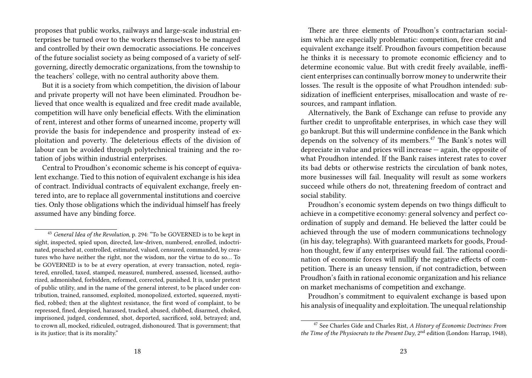proposes that public works, railways and large-scale industrial enterprises be turned over to the workers themselves to be managed and controlled by their own democratic associations. He conceives of the future socialist society as being composed of a variety of selfgoverning, directly democratic organizations, from the township to the teachers' college, with no central authority above them.

But it is a society from which competition, the division of labour and private property will not have been eliminated. Proudhon believed that once wealth is equalized and free credit made available, competition will have only beneficial effects. With the elimination of rent, interest and other forms of unearned income, property will provide the basis for independence and prosperity instead of exploitation and poverty. The deleterious effects of the division of labour can be avoided through polytechnical training and the rotation of jobs within industrial enterprises.

Central to Proudhon's economic scheme is his concept of equivalent exchange. Tied to this notion of equivalent exchange is his idea of contract. Individual contracts of equivalent exchange, freely entered into, are to replace all governmental institutions and coercive ties. Only those obligations which the individual himself has freely assumed have any binding force.

There are three elements of Proudhon's contractarian socialism which are especially problematic: competition, free credit and equivalent exchange itself. Proudhon favours competition because he thinks it is necessary to promote economic efficiency and to determine economic value. But with credit freely available, inefficient enterprises can continually borrow money to underwrite their losses. The result is the opposite of what Proudhon intended: subsidization of inefficient enterprises, misallocation and waste of resources, and rampant inflation.

Alternatively, the Bank of Exchange can refuse to provide any further credit to unprofitable enterprises, in which case they will go bankrupt. But this will undermine confidence in the Bank which depends on the solvency of its members.<sup>47</sup> The Bank's notes will depreciate in value and prices will increase — again, the opposite of what Proudhon intended. If the Bank raises interest rates to cover its bad debts or otherwise restricts the circulation of bank notes, more businesses will fail. Inequality will result as some workers succeed while others do not, threatening freedom of contract and social stability.

Proudhon's economic system depends on two things difficult to achieve in a competitive economy: general solvency and perfect coordination of supply and demand. He believed the latter could be achieved through the use of modern communications technology (in his day, telegraphs). With guaranteed markets for goods, Proudhon thought, few if any enterprises would fail. The rational coordination of economic forces will nullify the negative effects of competition. There is an uneasy tension, if not contradiction, between Proudhon's faith in rational economic organization and his reliance on market mechanisms of competition and exchange.

Proudhon's commitment to equivalent exchange is based upon his analysis of inequality and exploitation. The unequal relationship

<sup>43</sup> *General Idea of the Revolution*, p. 294: "To be GOVERNED is to be kept in sight, inspected, spied upon, directed, law-driven, numbered, enrolled, indoctrinated, preached at, controlled, estimated, valued, censured, commanded, by creatures who have neither the right, nor the wisdom, nor the virtue to do so… To be GOVERNED is to be at every operation, at every transaction, noted, registered, enrolled, taxed, stamped, measured, numbered, assessed, licensed, authorized, admonished, forbidden, reformed, corrected, punished. It is, under pretext of public utility, and in the name of the general interest, to be placed under contribution, trained, ransomed, exploited, monopolized, extorted, squeezed, mystified, robbed; then at the slightest resistance, the first word of complaint, to be repressed, fined, despised, harassed, tracked, abused, clubbed, disarmed, choked, imprisoned, judged, condemned, shot, deported, sacrificed, sold, betrayed; and, to crown all, mocked, ridiculed, outraged, dishonoured. That is government; that is its justice; that is its morality."

<sup>47</sup> See Charles Gide and Charles Rist, *A History of Economic Doctrines: From the Time of the Physiocrats to the Present Day*, 2nd edition (London: Harrap, 1948),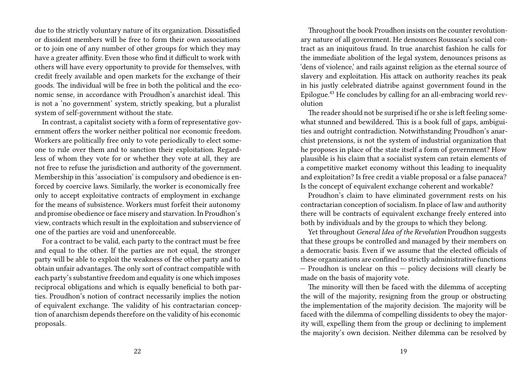due to the strictly voluntary nature of its organization. Dissatisfied or dissident members will be free to form their own associations or to join one of any number of other groups for which they may have a greater affinity. Even those who find it difficult to work with others will have every opportunity to provide for themselves, with credit freely available and open markets for the exchange of their goods. The individual will be free in both the political and the economic sense, in accordance with Proudhon's anarchist ideal. This is not a 'no government' system, strictly speaking, but a pluralist system of self-government without the state.

In contrast, a capitalist society with a form of representative government offers the worker neither political nor economic freedom. Workers are politically free only to vote periodically to elect someone to rule over them and to sanction their exploitation. Regardless of whom they vote for or whether they vote at all, they are not free to refuse the jurisdiction and authority of the government. Membership in this 'association' is compulsory and obedience is enforced by coercive laws. Similarly, the worker is economically free only to accept exploitative contracts of employment in exchange for the means of subsistence. Workers must forfeit their autonomy and promise obedience or face misery and starvation. In Proudhon's view, contracts which result in the exploitation and subservience of one of the parties are void and unenforceable.

For a contract to be valid, each party to the contract must be free and equal to the other. If the parties are not equal, the stronger party will be able to exploit the weakness of the other party and to obtain unfair advantages. The only sort of contract compatible with each party's substantive freedom and equality is one which imposes reciprocal obligations and which is equally beneficial to both parties. Proudhon's notion of contract necessarily implies the notion of equivalent exchange. The validity of his contractarian conception of anarchism depends therefore on the validity of his economic proposals.

Throughout the book Proudhon insists on the counter revolutionary nature of all government. He denounces Rousseau's social contract as an iniquitous fraud. In true anarchist fashion he calls for the immediate abolition of the legal system, denounces prisons as 'dens of violence,' and rails against religion as the eternal source of slavery and exploitation. His attack on authority reaches its peak in his justly celebrated diatribe against government found in the Epilogue.<sup>43</sup> He concludes by calling for an all-embracing world revolution

The reader should not be surprised if he or she is left feeling somewhat stunned and bewildered. This is a book full of gaps, ambiguities and outright contradiction. Notwithstanding Proudhon's anarchist pretensions, is not the system of industrial organization that he proposes in place of the state itself a form of government? How plausible is his claim that a socialist system can retain elements of a competitive market economy without this leading to inequality and exploitation? Is free credit a viable proposal or a false panacea? Is the concept of equivalent exchange coherent and workable?

Proudhon's claim to have eliminated government rests on his contractarian conception of socialism. In place of law and authority there will be contracts of equivalent exchange freely entered into both by individuals and by the groups to which they belong.

Yet throughout *General Idea of the Revolution* Proudhon suggests that these groups be controlled and managed by their members on a democratic basis. Even if we assume that the elected officials of these organizations are confined to strictly administrative functions — Proudhon is unclear on this — policy decisions will clearly be made on the basis of majority vote.

The minority will then be faced with the dilemma of accepting the will of the majority, resigning from the group or obstructing the implementation of the majority decision. The majority will be faced with the dilemma of compelling dissidents to obey the majority will, expelling them from the group or declining to implement the majority's own decision. Neither dilemma can be resolved by